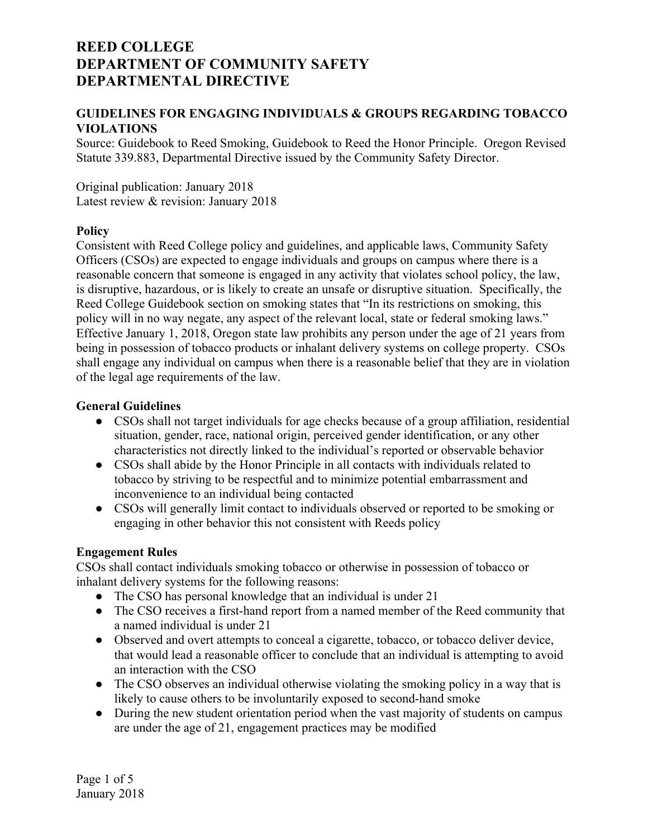### **GUIDELINES FOR ENGAGING INDIVIDUALS & GROUPS REGARDING TOBACCO VIOLATIONS**

Source: Guidebook to Reed Smoking, Guidebook to Reed the Honor Principle. Oregon Revised Statute 339.883, Departmental Directive issued by the Community Safety Director.

Original publication: January 2018 Latest review & revision: January 2018

#### **Policy**

Consistent with Reed College policy and guidelines, and applicable laws, Community Safety Officers (CSOs) are expected to engage individuals and groups on campus where there is a reasonable concern that someone is engaged in any activity that violates school policy, the law, is disruptive, hazardous, or is likely to create an unsafe or disruptive situation. Specifically, the Reed College Guidebook section on smoking states that "In its restrictions on smoking, this policy will in no way negate, any aspect of the relevant local, state or federal smoking laws." Effective January 1, 2018, Oregon state law prohibits any person under the age of 21 years from being in possession of tobacco products or inhalant delivery systems on college property. CSOs shall engage any individual on campus when there is a reasonable belief that they are in violation of the legal age requirements of the law.

#### **General Guidelines**

- CSOs shall not target individuals for age checks because of a group affiliation, residential situation, gender, race, national origin, perceived gender identification, or any other characteristics not directly linked to the individual's reported or observable behavior
- CSOs shall abide by the Honor Principle in all contacts with individuals related to tobacco by striving to be respectful and to minimize potential embarrassment and inconvenience to an individual being contacted
- CSOs will generally limit contact to individuals observed or reported to be smoking or engaging in other behavior this not consistent with Reeds policy

### **Engagement Rules**

CSOs shall contact individuals smoking tobacco or otherwise in possession of tobacco or inhalant delivery systems for the following reasons:

- The CSO has personal knowledge that an individual is under 21
- The CSO receives a first-hand report from a named member of the Reed community that a named individual is under 21
- Observed and overt attempts to conceal a cigarette, tobacco, or tobacco deliver device, that would lead a reasonable officer to conclude that an individual is attempting to avoid an interaction with the CSO
- The CSO observes an individual otherwise violating the smoking policy in a way that is likely to cause others to be involuntarily exposed to second-hand smoke
- During the new student orientation period when the vast majority of students on campus are under the age of 21, engagement practices may be modified

Page 1 of 5 January 2018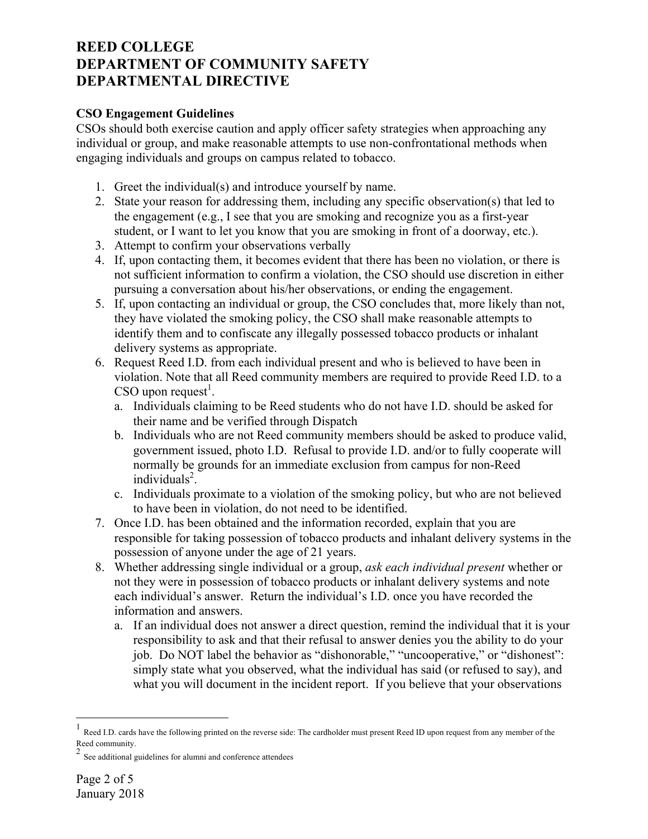### **CSO Engagement Guidelines**

CSOs should both exercise caution and apply officer safety strategies when approaching any individual or group, and make reasonable attempts to use non-confrontational methods when engaging individuals and groups on campus related to tobacco.

- 1. Greet the individual(s) and introduce yourself by name.
- 2. State your reason for addressing them, including any specific observation(s) that led to the engagement (e.g., I see that you are smoking and recognize you as a first-year student, or I want to let you know that you are smoking in front of a doorway, etc.).
- 3. Attempt to confirm your observations verbally
- 4. If, upon contacting them, it becomes evident that there has been no violation, or there is not sufficient information to confirm a violation, the CSO should use discretion in either pursuing a conversation about his/her observations, or ending the engagement.
- 5. If, upon contacting an individual or group, the CSO concludes that, more likely than not, they have violated the smoking policy, the CSO shall make reasonable attempts to identify them and to confiscate any illegally possessed tobacco products or inhalant delivery systems as appropriate.
- 6. Request Reed I.D. from each individual present and who is believed to have been in violation. Note that all Reed community members are required to provide Reed I.D. to a  $\text{CSO}$  upon request<sup>1</sup>.
	- a. Individuals claiming to be Reed students who do not have I.D. should be asked for their name and be verified through Dispatch
	- b. Individuals who are not Reed community members should be asked to produce valid, government issued, photo I.D. Refusal to provide I.D. and/or to fully cooperate will normally be grounds for an immediate exclusion from campus for non-Reed individuals<sup>2</sup>.
	- c. Individuals proximate to a violation of the smoking policy, but who are not believed to have been in violation, do not need to be identified.
- 7. Once I.D. has been obtained and the information recorded, explain that you are responsible for taking possession of tobacco products and inhalant delivery systems in the possession of anyone under the age of 21 years.
- 8. Whether addressing single individual or a group, *ask each individual present* whether or not they were in possession of tobacco products or inhalant delivery systems and note each individual's answer. Return the individual's I.D. once you have recorded the information and answers.
	- a. If an individual does not answer a direct question, remind the individual that it is your responsibility to ask and that their refusal to answer denies you the ability to do your job. Do NOT label the behavior as "dishonorable," "uncooperative," or "dishonest": simply state what you observed, what the individual has said (or refused to say), and what you will document in the incident report. If you believe that your observations

 $\frac{1}{1}$ Reed I.D. cards have the following printed on the reverse side: The cardholder must present Reed ID upon request from any member of the Reed community.

<sup>&</sup>lt;sup>2</sup> See additional guidelines for alumni and conference attendees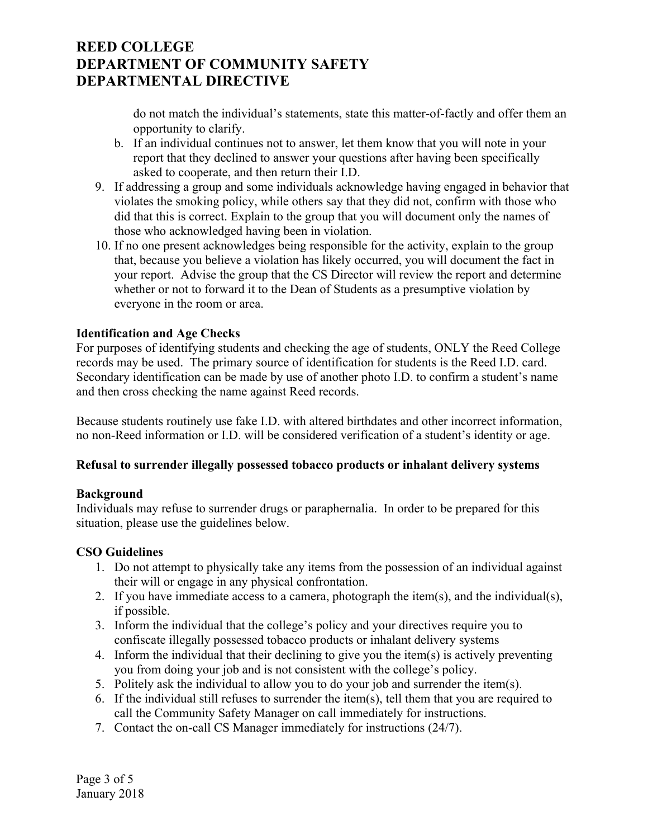do not match the individual's statements, state this matter-of-factly and offer them an opportunity to clarify.

- b. If an individual continues not to answer, let them know that you will note in your report that they declined to answer your questions after having been specifically asked to cooperate, and then return their I.D.
- 9. If addressing a group and some individuals acknowledge having engaged in behavior that violates the smoking policy, while others say that they did not, confirm with those who did that this is correct. Explain to the group that you will document only the names of those who acknowledged having been in violation.
- 10. If no one present acknowledges being responsible for the activity, explain to the group that, because you believe a violation has likely occurred, you will document the fact in your report. Advise the group that the CS Director will review the report and determine whether or not to forward it to the Dean of Students as a presumptive violation by everyone in the room or area.

### **Identification and Age Checks**

For purposes of identifying students and checking the age of students, ONLY the Reed College records may be used. The primary source of identification for students is the Reed I.D. card. Secondary identification can be made by use of another photo I.D. to confirm a student's name and then cross checking the name against Reed records.

Because students routinely use fake I.D. with altered birthdates and other incorrect information, no non-Reed information or I.D. will be considered verification of a student's identity or age.

### **Refusal to surrender illegally possessed tobacco products or inhalant delivery systems**

### **Background**

Individuals may refuse to surrender drugs or paraphernalia. In order to be prepared for this situation, please use the guidelines below.

### **CSO Guidelines**

- 1. Do not attempt to physically take any items from the possession of an individual against their will or engage in any physical confrontation.
- 2. If you have immediate access to a camera, photograph the item(s), and the individual(s), if possible.
- 3. Inform the individual that the college's policy and your directives require you to confiscate illegally possessed tobacco products or inhalant delivery systems
- 4. Inform the individual that their declining to give you the item(s) is actively preventing you from doing your job and is not consistent with the college's policy.
- 5. Politely ask the individual to allow you to do your job and surrender the item(s).
- 6. If the individual still refuses to surrender the item(s), tell them that you are required to call the Community Safety Manager on call immediately for instructions.
- 7. Contact the on-call CS Manager immediately for instructions (24/7).

Page 3 of 5 January 2018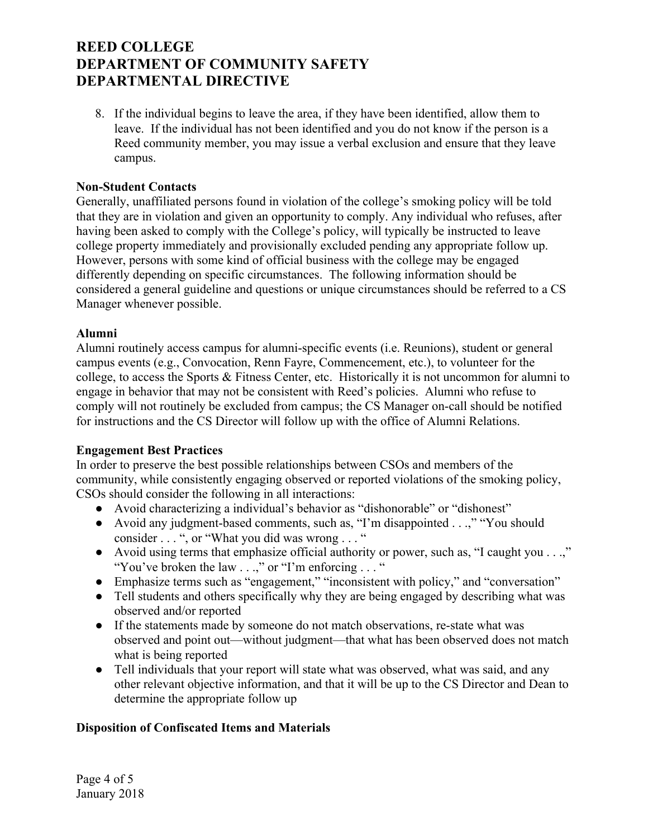8. If the individual begins to leave the area, if they have been identified, allow them to leave. If the individual has not been identified and you do not know if the person is a Reed community member, you may issue a verbal exclusion and ensure that they leave campus.

### **Non-Student Contacts**

Generally, unaffiliated persons found in violation of the college's smoking policy will be told that they are in violation and given an opportunity to comply. Any individual who refuses, after having been asked to comply with the College's policy, will typically be instructed to leave college property immediately and provisionally excluded pending any appropriate follow up. However, persons with some kind of official business with the college may be engaged differently depending on specific circumstances. The following information should be considered a general guideline and questions or unique circumstances should be referred to a CS Manager whenever possible.

### **Alumni**

Alumni routinely access campus for alumni-specific events (i.e. Reunions), student or general campus events (e.g., Convocation, Renn Fayre, Commencement, etc.), to volunteer for the college, to access the Sports & Fitness Center, etc. Historically it is not uncommon for alumni to engage in behavior that may not be consistent with Reed's policies. Alumni who refuse to comply will not routinely be excluded from campus; the CS Manager on-call should be notified for instructions and the CS Director will follow up with the office of Alumni Relations.

### **Engagement Best Practices**

In order to preserve the best possible relationships between CSOs and members of the community, while consistently engaging observed or reported violations of the smoking policy, CSOs should consider the following in all interactions:

- Avoid characterizing a individual's behavior as "dishonorable" or "dishonest"
- Avoid any judgment-based comments, such as, "I'm disappointed . . .," "You should consider . . . ", or "What you did was wrong . . . "
- Avoid using terms that emphasize official authority or power, such as, "I caught you . . .," "You've broken the law . . .," or "I'm enforcing . . . "
- Emphasize terms such as "engagement," "inconsistent with policy," and "conversation"
- Tell students and others specifically why they are being engaged by describing what was observed and/or reported
- If the statements made by someone do not match observations, re-state what was observed and point out—without judgment—that what has been observed does not match what is being reported
- Tell individuals that your report will state what was observed, what was said, and any other relevant objective information, and that it will be up to the CS Director and Dean to determine the appropriate follow up

## **Disposition of Confiscated Items and Materials**

Page 4 of 5 January 2018